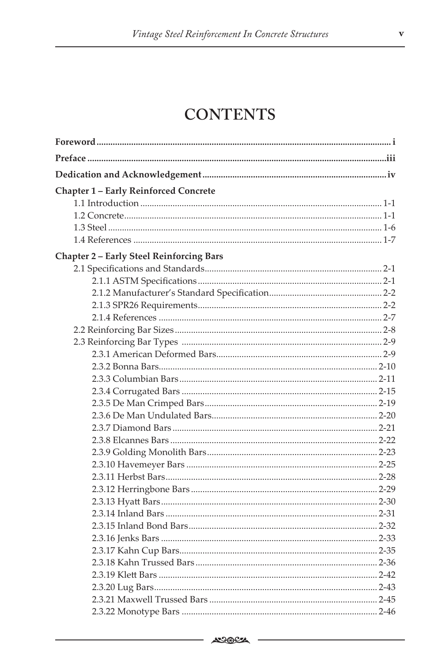## **CONTENTS**

| <b>Chapter 1 - Early Reinforced Concrete</b>    |  |
|-------------------------------------------------|--|
|                                                 |  |
|                                                 |  |
|                                                 |  |
|                                                 |  |
| <b>Chapter 2 - Early Steel Reinforcing Bars</b> |  |
|                                                 |  |
|                                                 |  |
|                                                 |  |
|                                                 |  |
|                                                 |  |
|                                                 |  |
|                                                 |  |
|                                                 |  |
|                                                 |  |
|                                                 |  |
|                                                 |  |
|                                                 |  |
|                                                 |  |
|                                                 |  |
|                                                 |  |
|                                                 |  |
|                                                 |  |
|                                                 |  |
|                                                 |  |
|                                                 |  |
|                                                 |  |
|                                                 |  |
|                                                 |  |
|                                                 |  |
|                                                 |  |
|                                                 |  |
|                                                 |  |
|                                                 |  |
|                                                 |  |

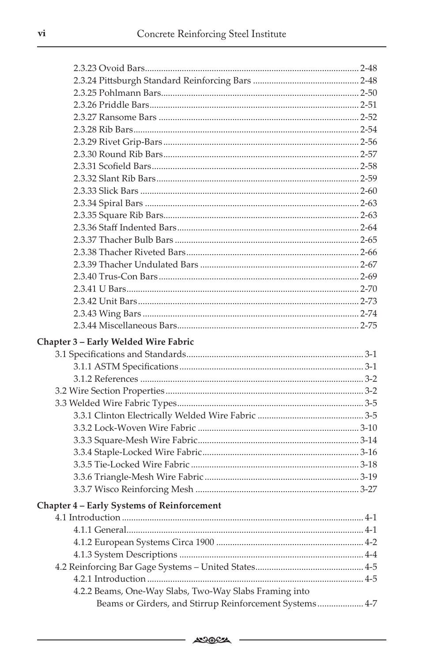| Chapter 3 - Early Welded Wire Fabric                   |  |
|--------------------------------------------------------|--|
|                                                        |  |
|                                                        |  |
|                                                        |  |
|                                                        |  |
|                                                        |  |
|                                                        |  |
|                                                        |  |
|                                                        |  |
|                                                        |  |
|                                                        |  |
|                                                        |  |
|                                                        |  |
| Chapter 4 - Early Systems of Reinforcement             |  |
|                                                        |  |
|                                                        |  |
|                                                        |  |
|                                                        |  |
|                                                        |  |
|                                                        |  |
| 4.2.2 Beams, One-Way Slabs, Two-Way Slabs Framing into |  |
|                                                        |  |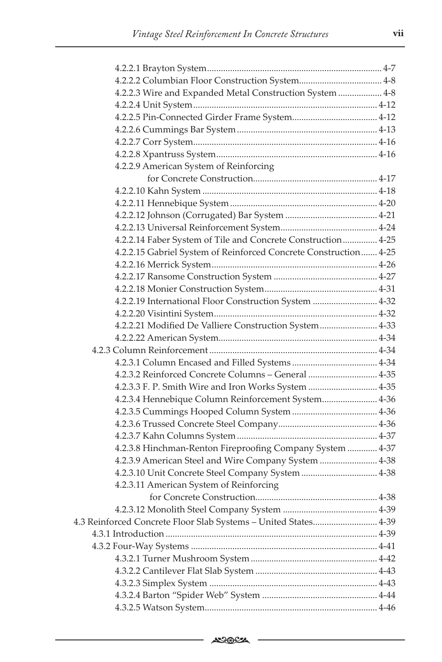| 4.2.2.3 Wire and Expanded Metal Construction System  4-8         |  |
|------------------------------------------------------------------|--|
|                                                                  |  |
|                                                                  |  |
|                                                                  |  |
|                                                                  |  |
|                                                                  |  |
| 4.2.2.9 American System of Reinforcing                           |  |
|                                                                  |  |
|                                                                  |  |
|                                                                  |  |
|                                                                  |  |
|                                                                  |  |
| 4.2.2.14 Faber System of Tile and Concrete Construction 4-25     |  |
| 4.2.2.15 Gabriel System of Reinforced Concrete Construction 4-25 |  |
|                                                                  |  |
|                                                                  |  |
|                                                                  |  |
| 4.2.2.19 International Floor Construction System  4-32           |  |
|                                                                  |  |
| 4.2.2.21 Modified De Valliere Construction System 4-33           |  |
|                                                                  |  |
|                                                                  |  |
|                                                                  |  |
| 4.2.3.2 Reinforced Concrete Columns - General  4-35              |  |
| 4.2.3.3 F. P. Smith Wire and Iron Works System  4-35             |  |
| 4.2.3.4 Hennebique Column Reinforcement System 4-36              |  |
|                                                                  |  |
|                                                                  |  |
|                                                                  |  |
| 4.2.3.8 Hinchman-Renton Fireproofing Company System  4-37        |  |
| 4.2.3.9 American Steel and Wire Company System  4-38             |  |
| 4.2.3.10 Unit Concrete Steel Company System  4-38                |  |
| 4.2.3.11 American System of Reinforcing                          |  |
|                                                                  |  |
|                                                                  |  |
| 4.3 Reinforced Concrete Floor Slab Systems - United States 4-39  |  |
|                                                                  |  |
|                                                                  |  |
|                                                                  |  |
|                                                                  |  |
|                                                                  |  |
|                                                                  |  |
|                                                                  |  |